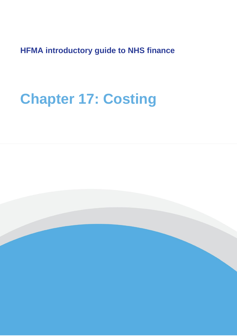**HFMA introductory guide to NHS finance**

# **Chapter 17: Costing**

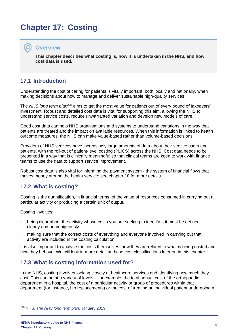# **Chapter 17: Costing**

#### **Overview**

**This chapter describes what costing is, how it is undertaken in the NHS, and how cost data is used.**

# **17.1 Introduction**

Understanding the cost of caring for patients is vitally important, both locally and nationally, when making decisions about how to manage and deliver sustainable high-quality services.

The *NHS long term plan<sup>239</sup>* aims to get the most value for patients out of every pound of taxpayers' investment. Robust and detailed cost data is vital for supporting this aim, allowing the NHS to understand service costs, reduce unwarranted variation and develop new models of care.

Good cost data can help NHS organisations and systems to understand variations in the way that patients are treated and the impact on available resources. When this information is linked to health outcome measures, the NHS can make value-based rather than volume-based decisions.

Providers of NHS services have increasingly large amounts of data about their service users and patients, with the roll-out of patient-level costing (PLICS) across the NHS. Cost data needs to be presented in a way that is clinically meaningful so that clinical teams are keen to work with finance teams to use the data to support service improvement.

Robust cost data is also vital for informing the payment system - the system of financial flows that moves money around the health service; see chapter 18 for more details.

# **17.2 What is costing?**

Costing is the quantification, in financial terms, of the value of resources consumed in carrying out a particular activity or producing a certain unit of output.

Costing involves:

- being clear about the activity whose costs you are seeking to identify it must be defined clearly and unambiguously
- making sure that the correct costs of everything and everyone involved in carrying out that activity are included in the costing calculation.

It is also important to analyse the costs themselves, how they are related to what is being costed and how they behave. We will look in more detail at these cost classifications later on in this chapter.

# **17.3 What is costing information used for?**

In the NHS, costing involves looking closely at healthcare services and identifying how much they cost. This can be at a variety of levels – for example, the total annual cost of the orthopaedic department in a hospital, the cost of a particular activity or group of procedures within that department (for instance, hip replacements) or the cost of treating an individual patient undergoing a

<sup>239</sup> NHS, *[The NHS long term plan](https://www.longtermplan.nhs.uk/)*, January 2019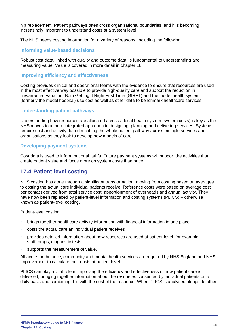hip replacement. Patient pathways often cross organisational boundaries, and it is becoming increasingly important to understand costs at a system level.

The NHS needs costing information for a variety of reasons, including the following:

#### **Informing value-based decisions**

Robust cost data, linked with quality and outcome data, is fundamental to understanding and measuring value. Value is covered in more detail in chapter 18.

#### **Improving efficiency and effectiveness**

Costing provides clinical and operational teams with the evidence to ensure that resources are used in the most effective way possible to provide high-quality care and support the reduction in unwarranted variation. Both Getting It Right First Time (GIRFT) and the model health system (formerly the model hospital) use cost as well as other data to benchmark healthcare services.

#### **Understanding patient pathways**

Understanding how resources are allocated across a local health system (system costs) is key as the NHS moves to a more integrated approach to designing, planning and delivering services. Systems require cost and activity data describing the whole patient pathway across multiple services and organisations as they look to develop new models of care.

#### **Developing payment systems**

Cost data is used to inform national tariffs. Future payment systems will support the activities that create patient value and focus more on system costs than price.

# **17.4 Patient-level costing**

NHS costing has gone through a significant transformation, moving from costing based on averages to costing the actual care individual patients receive. Reference costs were based on average cost per contact derived from total service cost, apportionment of overheads and annual activity. They have now been replaced by patient-level information and costing systems (PLICS) – otherwise known as patient-level costing.

Patient-level costing:

- brings together healthcare activity information with financial information in one place
- costs the actual care an individual patient receives
- provides detailed information about how resources are used at patient-level, for example, staff, drugs, diagnostic tests
- supports the measurement of value.

All acute, ambulance, community and mental health services are required by NHS England and NHS Improvement to calculate their costs at patient level.

PLICS can play a vital role in improving the efficiency and effectiveness of how patient care is delivered, bringing together information about the resources consumed by individual patients on a daily basis and combining this with the cost of the resource. When PLICS is analysed alongside other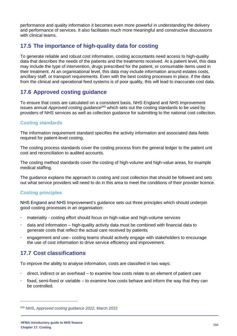performance and quality information it becomes even more powerful in understanding the delivery and performance of services. It also facilitates much more meaningful and constructive discussions with clinical teams.

# **17.5 The importance of high-quality data for costing**

To generate reliable and robust cost information, costing accountants need access to high-quality data that describes the needs of the patients and the treatments received. At a patient level, this data may include the type of intervention, drugs prescribed for the patient, or consumable items used in their treatment. At an organisational level, this data may include information around estates costs, ancillary staff, or transport requirements. Even with the best costing processes in place, if the data from the clinical and operational feed systems is of poor quality, this will lead to inaccurate cost data.

# **17.6 Approved costing guidance**

To ensure that costs are calculated on a consistent basis, NHS England and NHS Improvement issues annual *Approved costing guidance<sup>240</sup>* which sets out the costing standards to be used by providers of NHS services as well as collection guidance for submitting to the national cost collection.

#### **Costing standards**

The information requirement standard specifies the activity information and associated data fields required for patient-level costing.

The costing process standards cover the costing process from the general ledger to the patient unit cost and reconciliation to audited accounts.

The costing method standards cover the costing of high-volume and high-value areas, for example medical staffing.

The guidance explains the approach to costing and cost collection that should be followed and sets out what service providers will need to do in this area to meet the conditions of their provider licence.

## **Costing principles**

NHS England and NHS Improvement's guidance sets out three principles which should underpin good costing processes in an organisation:

- materiality costing effort should focus on high-value and high-volume services
- data and information high-quality activity data must be combined with financial data to generate costs that reflect the actual care received by patients
- engagement and use– costing teams should actively engage with stakeholders to encourage the use of cost information to drive service efficiency and improvement.

# **17.7 Cost classifications**

To improve the ability to analyse information, costs are classified in two ways:

- direct, indirect or an overhead to examine how costs relate to an element of patient care
- fixed, semi-fixed or variable to examine how costs behave and inform the way that they can be controlled.

<sup>240</sup> NHS, *[Approved costing guidance 2022,](https://www.england.nhs.uk/publication/approved-costing-guidance-2022-integrated-prescribed-guidance-and-tools/)* March 2022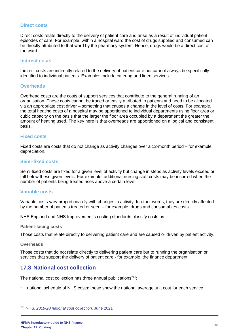#### **Direct costs**

Direct costs relate directly to the delivery of patient care and arise as a result of individual patient episodes of care. For example, within a hospital ward the cost of drugs supplied and consumed can be directly attributed to that ward by the pharmacy system. Hence, drugs would be a direct cost of the ward.

#### **Indirect costs**

Indirect costs are indirectly related to the delivery of patient care but cannot always be specifically identified to individual patients. Examples include catering and linen services.

#### **Overheads**

Overhead costs are the costs of support services that contribute to the general running of an organisation. These costs cannot be traced or easily attributed to patients and need to be allocated via an appropriate cost driver – something that causes a change in the level of costs. For example, the total heating costs of a hospital may be apportioned to individual departments using floor area or cubic capacity on the basis that the larger the floor area occupied by a department the greater the amount of heating used. The key here is that overheads are apportioned on a logical and consistent basis.

#### **Fixed costs**

Fixed costs are costs that do not change as activity changes over a 12-month period – for example, depreciation.

#### **Semi-fixed costs**

Semi-fixed costs are fixed for a given level of activity but change in steps as activity levels exceed or fall below these given levels. For example, additional nursing staff costs may be incurred when the number of patients being treated rises above a certain level.

#### **Variable costs**

Variable costs vary proportionately with changes in activity. In other words, they are directly affected by the number of patients treated or seen – for example, drugs and consumables costs.

NHS England and NHS Improvement's costing standards classify costs as:

#### **Patient-facing costs**

Those costs that relate directly to delivering patient care and are caused or driven by patient activity.

#### **Overheads**

Those costs that do not relate directly to delivering patient care but to running the organisation or services that support the delivery of patient care - for example, the finance department.

## **17.8 National cost collection**

The national cost collection has three annual publications $241$ :

• national schedule of NHS costs: these show the national average unit cost for each service

<sup>241</sup> NHS, *[2019/20 national cost collection,](https://www.england.nhs.uk/costing-in-the-nhs/national-cost-collection/)* June 2021